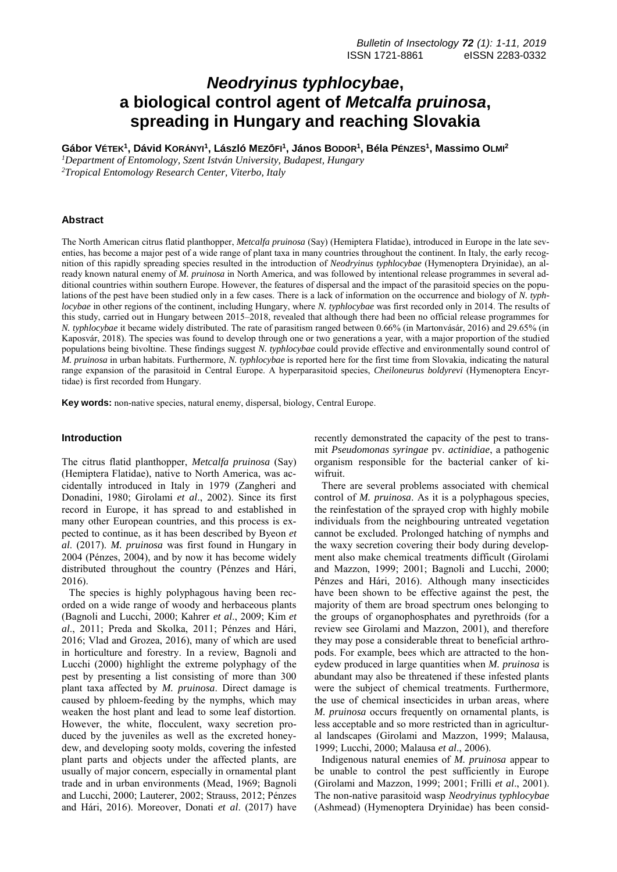# *Neodryinus typhlocybae***, a biological control agent of** *Metcalfa pruinosa***, spreading in Hungary and reaching Slovakia**

**Gábor VÉTEK<sup>1</sup> , Dávid KORÁNYI<sup>1</sup> , László MEZŐFI<sup>1</sup> , János BODOR<sup>1</sup> , Béla PÉNZES<sup>1</sup> , Massimo OLMI<sup>2</sup>**

*<sup>1</sup>Department of Entomology, Szent István University, Budapest, Hungary <sup>2</sup>Tropical Entomology Research Center, Viterbo, Italy*

## **Abstract**

The North American citrus flatid planthopper, *Metcalfa pruinosa* (Say) (Hemiptera Flatidae), introduced in Europe in the late seventies, has become a major pest of a wide range of plant taxa in many countries throughout the continent. In Italy, the early recognition of this rapidly spreading species resulted in the introduction of *Neodryinus typhlocybae* (Hymenoptera Dryinidae), an already known natural enemy of *M. pruinosa* in North America, and was followed by intentional release programmes in several additional countries within southern Europe. However, the features of dispersal and the impact of the parasitoid species on the populations of the pest have been studied only in a few cases. There is a lack of information on the occurrence and biology of *N. typhlocybae* in other regions of the continent, including Hungary, where *N. typhlocybae* was first recorded only in 2014. The results of this study, carried out in Hungary between 2015–2018, revealed that although there had been no official release programmes for *N. typhlocybae* it became widely distributed. The rate of parasitism ranged between 0.66% (in Martonvásár, 2016) and 29.65% (in Kaposvár, 2018). The species was found to develop through one or two generations a year, with a major proportion of the studied populations being bivoltine. These findings suggest *N. typhlocybae* could provide effective and environmentally sound control of *M. pruinosa* in urban habitats. Furthermore, *N. typhlocybae* is reported here for the first time from Slovakia, indicating the natural range expansion of the parasitoid in Central Europe. A hyperparasitoid species, *Cheiloneurus boldyrevi* (Hymenoptera Encyrtidae) is first recorded from Hungary.

**Key words:** non-native species, natural enemy, dispersal, biology, Central Europe.

### **Introduction**

The citrus flatid planthopper, *Metcalfa pruinosa* (Say) (Hemiptera Flatidae), native to North America, was accidentally introduced in Italy in 1979 (Zangheri and Donadini, 1980; Girolami *et al*., 2002). Since its first record in Europe, it has spread to and established in many other European countries, and this process is expected to continue, as it has been described by Byeon *et al*. (2017). *M. pruinosa* was first found in Hungary in 2004 (Pénzes, 2004), and by now it has become widely distributed throughout the country (Pénzes and Hári, 2016).

The species is highly polyphagous having been recorded on a wide range of woody and herbaceous plants (Bagnoli and Lucchi, 2000; Kahrer *et al*., 2009; Kim *et al*., 2011; Preda and Skolka, 2011; Pénzes and Hári, 2016; Vlad and Grozea, 2016), many of which are used in horticulture and forestry. In a review, Bagnoli and Lucchi (2000) highlight the extreme polyphagy of the pest by presenting a list consisting of more than 300 plant taxa affected by *M. pruinosa*. Direct damage is caused by phloem-feeding by the nymphs, which may weaken the host plant and lead to some leaf distortion. However, the white, flocculent, waxy secretion produced by the juveniles as well as the excreted honeydew, and developing sooty molds, covering the infested plant parts and objects under the affected plants, are usually of major concern, especially in ornamental plant trade and in urban environments (Mead, 1969; Bagnoli and Lucchi, 2000; Lauterer, 2002; Strauss, 2012; Pénzes and Hári, 2016). Moreover, Donati *et al*. (2017) have recently demonstrated the capacity of the pest to transmit *Pseudomonas syringae* pv. *actinidiae*, a pathogenic organism responsible for the bacterial canker of kiwifruit.

There are several problems associated with chemical control of *M. pruinosa*. As it is a polyphagous species, the reinfestation of the sprayed crop with highly mobile individuals from the neighbouring untreated vegetation cannot be excluded. Prolonged hatching of nymphs and the waxy secretion covering their body during development also make chemical treatments difficult (Girolami and Mazzon, 1999; 2001; Bagnoli and Lucchi, 2000; Pénzes and Hári, 2016). Although many insecticides have been shown to be effective against the pest, the majority of them are broad spectrum ones belonging to the groups of organophosphates and pyrethroids (for a review see Girolami and Mazzon, 2001), and therefore they may pose a considerable threat to beneficial arthropods. For example, bees which are attracted to the honeydew produced in large quantities when *M. pruinosa* is abundant may also be threatened if these infested plants were the subject of chemical treatments. Furthermore, the use of chemical insecticides in urban areas, where *M. pruinosa* occurs frequently on ornamental plants, is less acceptable and so more restricted than in agricultural landscapes (Girolami and Mazzon, 1999; Malausa, 1999; Lucchi, 2000; Malausa *et al*., 2006).

Indigenous natural enemies of *M. pruinosa* appear to be unable to control the pest sufficiently in Europe (Girolami and Mazzon, 1999; 2001; Frilli *et al*., 2001). The non-native parasitoid wasp *Neodryinus typhlocybae* (Ashmead) (Hymenoptera Dryinidae) has been consid-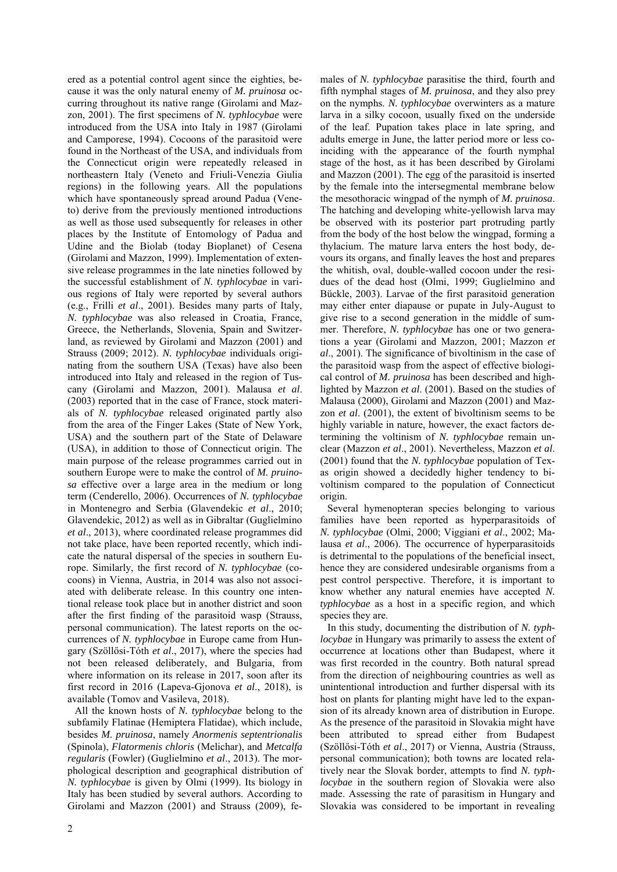ered as a potential control agent since the eighties, because it was the only natural enemy of *M. pruinosa* occurring throughout its native range (Girolami and Mazzon, 2001). The first specimens of *N. typhlocybae* were introduced from the USA into Italy in 1987 (Girolami and Camporese, 1994). Cocoons of the parasitoid were found in the Northeast of the USA, and individuals from the Connecticut origin were repeatedly released in northeastern Italy (Veneto and Friuli-Venezia Giulia regions) in the following years. All the populations which have spontaneously spread around Padua (Veneto) derive from the previously mentioned introductions as well as those used subsequently for releases in other places by the Institute of Entomology of Padua and Udine and the Biolab (today Bioplanet) of Cesena (Girolami and Mazzon, 1999). Implementation of extensive release programmes in the late nineties followed by the successful establishment of *N. typhlocybae* in various regions of Italy were reported by several authors (e.g., Frilli *et al*., 2001). Besides many parts of Italy, *N. typhlocybae* was also released in Croatia, France, Greece, the Netherlands, Slovenia, Spain and Switzerland, as reviewed by Girolami and Mazzon (2001) and Strauss (2009; 2012). *N. typhlocybae* individuals originating from the southern USA (Texas) have also been introduced into Italy and released in the region of Tuscany (Girolami and Mazzon, 2001). Malausa *et al*. (2003) reported that in the case of France, stock materials of *N. typhlocybae* released originated partly also from the area of the Finger Lakes (State of New York, USA) and the southern part of the State of Delaware (USA), in addition to those of Connecticut origin. The main purpose of the release programmes carried out in southern Europe were to make the control of *M. pruinosa* effective over a large area in the medium or long term (Cenderello, 2006). Occurrences of *N. typhlocybae* in Montenegro and Serbia (Glavendekic *et al*., 2010; Glavendekic, 2012) as well as in Gibraltar (Guglielmino *et al*., 2013), where coordinated release programmes did not take place, have been reported recently, which indicate the natural dispersal of the species in southern Europe. Similarly, the first record of *N. typhlocybae* (cocoons) in Vienna, Austria, in 2014 was also not associated with deliberate release. In this country one intentional release took place but in another district and soon after the first finding of the parasitoid wasp (Strauss, personal communication). The latest reports on the occurrences of *N. typhlocybae* in Europe came from Hungary (Szöllősi-Tóth *et al*., 2017), where the species had not been released deliberately, and Bulgaria, from where information on its release in 2017, soon after its first record in 2016 (Lapeva-Gjonova *et al*., 2018), is available (Tomov and Vasileva, 2018).

All the known hosts of *N. typhlocybae* belong to the subfamily Flatinae (Hemiptera Flatidae), which include, besides *M. pruinosa*, namely *Anormenis septentrionalis* (Spinola), *Flatormenis chloris* (Melichar), and *Metcalfa regularis* (Fowler) (Guglielmino *et al*., 2013). The morphological description and geographical distribution of *N. typhlocybae* is given by Olmi (1999). Its biology in Italy has been studied by several authors. According to Girolami and Mazzon (2001) and Strauss (2009), fe-

males of *N. typhlocybae* parasitise the third, fourth and fifth nymphal stages of *M. pruinosa*, and they also prey on the nymphs. *N. typhlocybae* overwinters as a mature larva in a silky cocoon, usually fixed on the underside of the leaf. Pupation takes place in late spring, and adults emerge in June, the latter period more or less coinciding with the appearance of the fourth nymphal stage of the host, as it has been described by Girolami and Mazzon (2001). The egg of the parasitoid is inserted by the female into the intersegmental membrane below the mesothoracic wingpad of the nymph of *M. pruinosa*. The hatching and developing white-yellowish larva may be observed with its posterior part protruding partly from the body of the host below the wingpad, forming a thylacium. The mature larva enters the host body, devours its organs, and finally leaves the host and prepares the whitish, oval, double-walled cocoon under the residues of the dead host (Olmi, 1999; Guglielmino and Bückle, 2003). Larvae of the first parasitoid generation may either enter diapause or pupate in July-August to give rise to a second generation in the middle of summer. Therefore, *N. typhlocybae* has one or two generations a year (Girolami and Mazzon, 2001; Mazzon *et al*., 2001). The significance of bivoltinism in the case of the parasitoid wasp from the aspect of effective biological control of *M. pruinosa* has been described and highlighted by Mazzon *et al*. (2001). Based on the studies of Malausa (2000), Girolami and Mazzon (2001) and Mazzon *et al*. (2001), the extent of bivoltinism seems to be highly variable in nature, however, the exact factors determining the voltinism of *N. typhlocybae* remain unclear (Mazzon *et al*., 2001). Nevertheless, Mazzon *et al*. (2001) found that the *N. typhlocybae* population of Texas origin showed a decidedly higher tendency to bivoltinism compared to the population of Connecticut origin.

Several hymenopteran species belonging to various families have been reported as hyperparasitoids of *N. typhlocybae* (Olmi, 2000; Viggiani *et al*., 2002; Malausa *et al*., 2006). The occurrence of hyperparasitoids is detrimental to the populations of the beneficial insect, hence they are considered undesirable organisms from a pest control perspective. Therefore, it is important to know whether any natural enemies have accepted *N. typhlocybae* as a host in a specific region, and which species they are.

In this study, documenting the distribution of *N. typhlocybae* in Hungary was primarily to assess the extent of occurrence at locations other than Budapest, where it was first recorded in the country. Both natural spread from the direction of neighbouring countries as well as unintentional introduction and further dispersal with its host on plants for planting might have led to the expansion of its already known area of distribution in Europe. As the presence of the parasitoid in Slovakia might have been attributed to spread either from Budapest (Szöllősi-Tóth *et al*., 2017) or Vienna, Austria (Strauss, personal communication); both towns are located relatively near the Slovak border, attempts to find *N. typhlocybae* in the southern region of Slovakia were also made. Assessing the rate of parasitism in Hungary and Slovakia was considered to be important in revealing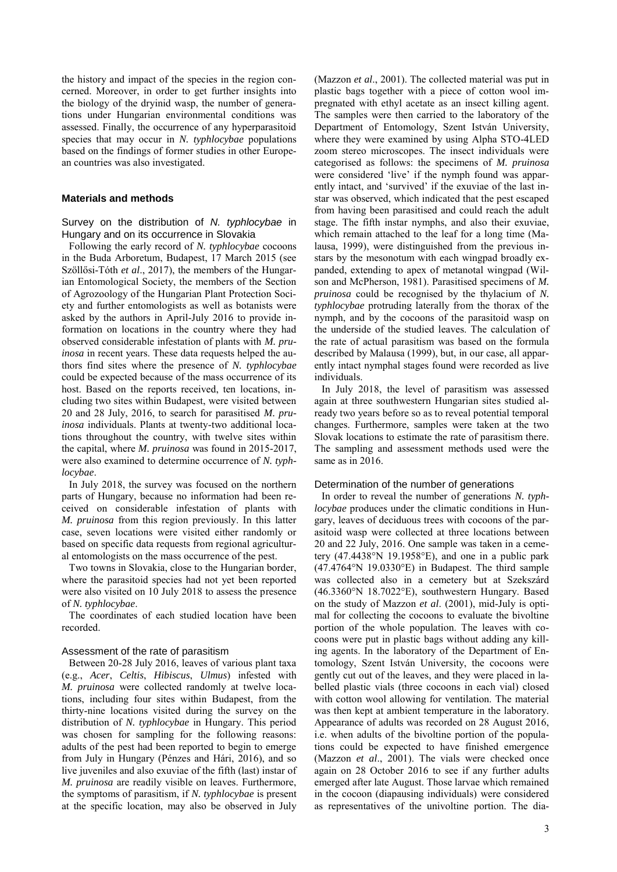the history and impact of the species in the region concerned. Moreover, in order to get further insights into the biology of the dryinid wasp, the number of generations under Hungarian environmental conditions was assessed. Finally, the occurrence of any hyperparasitoid species that may occur in *N. typhlocybae* populations based on the findings of former studies in other European countries was also investigated.

## **Materials and methods**

Survey on the distribution of *N. typhlocybae* in Hungary and on its occurrence in Slovakia

Following the early record of *N. typhlocybae* cocoons in the Buda Arboretum, Budapest, 17 March 2015 (see Szöllősi-Tóth *et al*., 2017), the members of the Hungarian Entomological Society, the members of the Section of Agrozoology of the Hungarian Plant Protection Society and further entomologists as well as botanists were asked by the authors in April-July 2016 to provide information on locations in the country where they had observed considerable infestation of plants with *M. pruinosa* in recent years. These data requests helped the authors find sites where the presence of *N. typhlocybae* could be expected because of the mass occurrence of its host. Based on the reports received, ten locations, including two sites within Budapest, were visited between 20 and 28 July, 2016, to search for parasitised *M. pruinosa* individuals. Plants at twenty-two additional locations throughout the country, with twelve sites within the capital, where *M. pruinosa* was found in 2015-2017, were also examined to determine occurrence of *N. typhlocybae*.

In July 2018, the survey was focused on the northern parts of Hungary, because no information had been received on considerable infestation of plants with *M. pruinosa* from this region previously. In this latter case, seven locations were visited either randomly or based on specific data requests from regional agricultural entomologists on the mass occurrence of the pest.

Two towns in Slovakia, close to the Hungarian border, where the parasitoid species had not yet been reported were also visited on 10 July 2018 to assess the presence of *N. typhlocybae*.

The coordinates of each studied location have been recorded.

## Assessment of the rate of parasitism

Between 20-28 July 2016, leaves of various plant taxa (e.g., *Acer*, *Celtis*, *Hibiscus*, *Ulmus*) infested with *M. pruinosa* were collected randomly at twelve locations, including four sites within Budapest, from the thirty-nine locations visited during the survey on the distribution of *N. typhlocybae* in Hungary. This period was chosen for sampling for the following reasons: adults of the pest had been reported to begin to emerge from July in Hungary (Pénzes and Hári, 2016), and so live juveniles and also exuviae of the fifth (last) instar of *M. pruinosa* are readily visible on leaves. Furthermore, the symptoms of parasitism, if *N. typhlocybae* is present at the specific location, may also be observed in July

(Mazzon *et al*., 2001). The collected material was put in plastic bags together with a piece of cotton wool impregnated with ethyl acetate as an insect killing agent. The samples were then carried to the laboratory of the Department of Entomology, Szent István University, where they were examined by using Alpha STO-4LED zoom stereo microscopes. The insect individuals were categorised as follows: the specimens of *M. pruinosa* were considered 'live' if the nymph found was apparently intact, and 'survived' if the exuviae of the last instar was observed, which indicated that the pest escaped from having been parasitised and could reach the adult stage. The fifth instar nymphs, and also their exuviae, which remain attached to the leaf for a long time (Malausa, 1999), were distinguished from the previous instars by the mesonotum with each wingpad broadly expanded, extending to apex of metanotal wingpad (Wilson and McPherson, 1981). Parasitised specimens of *M. pruinosa* could be recognised by the thylacium of *N. typhlocybae* protruding laterally from the thorax of the nymph, and by the cocoons of the parasitoid wasp on the underside of the studied leaves. The calculation of the rate of actual parasitism was based on the formula described by Malausa (1999), but, in our case, all apparently intact nymphal stages found were recorded as live individuals.

In July 2018, the level of parasitism was assessed again at three southwestern Hungarian sites studied already two years before so as to reveal potential temporal changes. Furthermore, samples were taken at the two Slovak locations to estimate the rate of parasitism there. The sampling and assessment methods used were the same as in 2016.

#### Determination of the number of generations

In order to reveal the number of generations *N. typhlocybae* produces under the climatic conditions in Hungary, leaves of deciduous trees with cocoons of the parasitoid wasp were collected at three locations between 20 and 22 July, 2016. One sample was taken in a cemetery (47.4438°N 19.1958°E), and one in a public park (47.4764°N 19.0330°E) in Budapest. The third sample was collected also in a cemetery but at Szekszárd (46.3360°N 18.7022°E), southwestern Hungary. Based on the study of Mazzon *et al*. (2001), mid-July is optimal for collecting the cocoons to evaluate the bivoltine portion of the whole population. The leaves with cocoons were put in plastic bags without adding any killing agents. In the laboratory of the Department of Entomology, Szent István University, the cocoons were gently cut out of the leaves, and they were placed in labelled plastic vials (three cocoons in each vial) closed with cotton wool allowing for ventilation. The material was then kept at ambient temperature in the laboratory. Appearance of adults was recorded on 28 August 2016, i.e. when adults of the bivoltine portion of the populations could be expected to have finished emergence (Mazzon *et al*., 2001). The vials were checked once again on 28 October 2016 to see if any further adults emerged after late August. Those larvae which remained in the cocoon (diapausing individuals) were considered as representatives of the univoltine portion. The dia-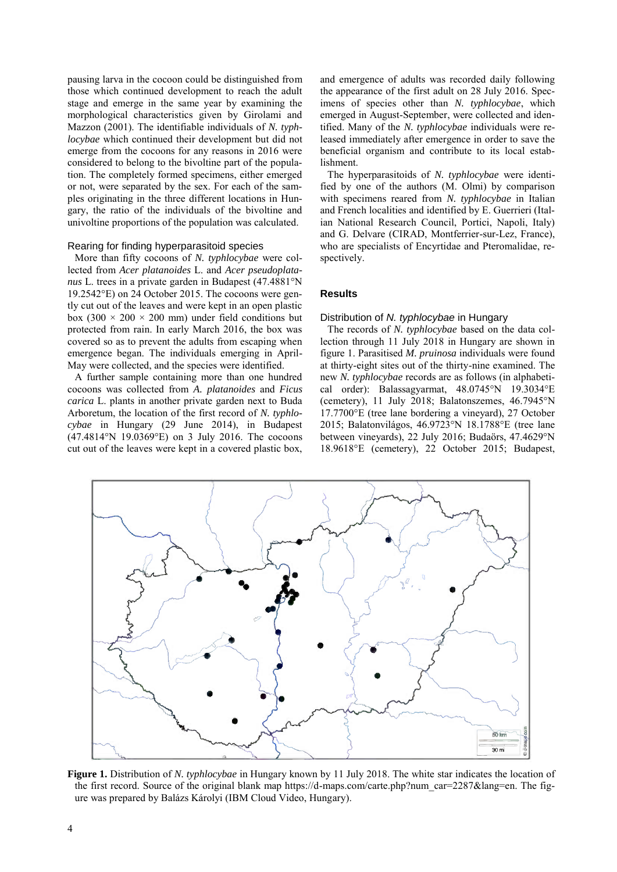pausing larva in the cocoon could be distinguished from those which continued development to reach the adult stage and emerge in the same year by examining the morphological characteristics given by Girolami and Mazzon (2001). The identifiable individuals of *N. typhlocybae* which continued their development but did not emerge from the cocoons for any reasons in 2016 were considered to belong to the bivoltine part of the population. The completely formed specimens, either emerged or not, were separated by the sex. For each of the samples originating in the three different locations in Hungary, the ratio of the individuals of the bivoltine and univoltine proportions of the population was calculated.

## Rearing for finding hyperparasitoid species

More than fifty cocoons of *N. typhlocybae* were collected from *Acer platanoides* L. and *Acer pseudoplatanus* L. trees in a private garden in Budapest (47.4881°N 19.2542°E) on 24 October 2015. The cocoons were gently cut out of the leaves and were kept in an open plastic box (300  $\times$  200  $\times$  200 mm) under field conditions but protected from rain. In early March 2016, the box was covered so as to prevent the adults from escaping when emergence began. The individuals emerging in April-May were collected, and the species were identified.

A further sample containing more than one hundred cocoons was collected from *A. platanoides* and *Ficus carica* L. plants in another private garden next to Buda Arboretum, the location of the first record of *N. typhlocybae* in Hungary (29 June 2014), in Budapest (47.4814°N 19.0369°E) on 3 July 2016. The cocoons cut out of the leaves were kept in a covered plastic box,

and emergence of adults was recorded daily following the appearance of the first adult on 28 July 2016. Specimens of species other than *N. typhlocybae*, which emerged in August-September, were collected and identified. Many of the *N. typhlocybae* individuals were released immediately after emergence in order to save the beneficial organism and contribute to its local establishment.

The hyperparasitoids of *N. typhlocybae* were identified by one of the authors (M. Olmi) by comparison with specimens reared from *N. typhlocybae* in Italian and French localities and identified by E. Guerrieri (Italian National Research Council, Portici, Napoli, Italy) and G. Delvare (CIRAD, Montferrier-sur-Lez, France), who are specialists of Encyrtidae and Pteromalidae, respectively.

## **Results**

#### Distribution of *N. typhlocybae* in Hungary

The records of *N. typhlocybae* based on the data collection through 11 July 2018 in Hungary are shown in figure 1. Parasitised *M. pruinosa* individuals were found at thirty-eight sites out of the thirty-nine examined. The new *N. typhlocybae* records are as follows (in alphabetical order): Balassagyarmat, 48.0745°N 19.3034°E (cemetery), 11 July 2018; Balatonszemes, 46.7945°N 17.7700°E (tree lane bordering a vineyard), 27 October 2015; Balatonvilágos, 46.9723°N 18.1788°E (tree lane between vineyards), 22 July 2016; Budaörs, 47.4629°N 18.9618°E (cemetery), 22 October 2015; Budapest,



**Figure 1.** Distribution of *N. typhlocybae* in Hungary known by 11 July 2018. The white star indicates the location of the first record. Source of the original blank map https://d-maps.com/carte.php?num\_car=2287&lang=en. The figure was prepared by Balázs Károlyi (IBM Cloud Video, Hungary).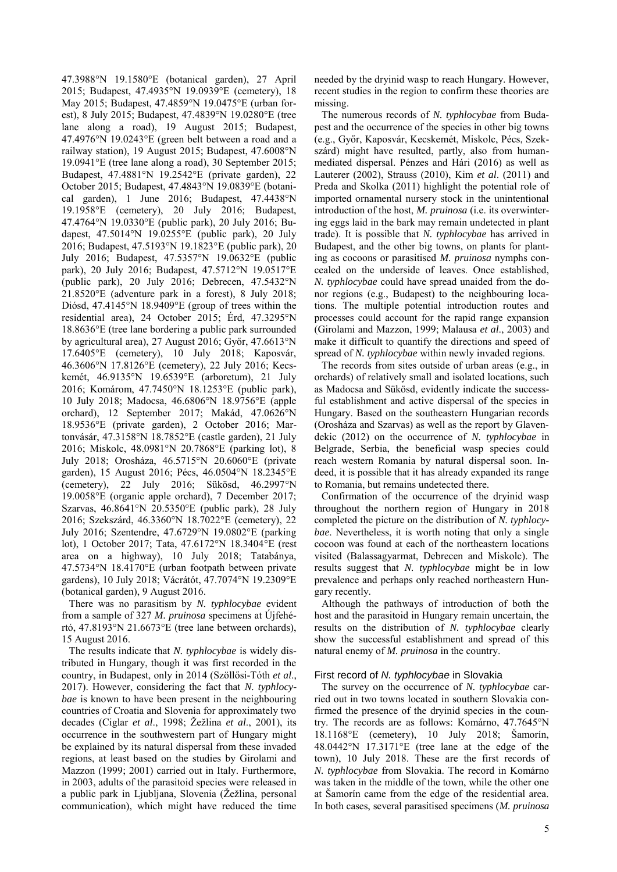47.3988°N 19.1580°E (botanical garden), 27 April 2015; Budapest, 47.4935°N 19.0939°E (cemetery), 18 May 2015; Budapest, 47.4859°N 19.0475°E (urban forest), 8 July 2015; Budapest, 47.4839°N 19.0280°E (tree lane along a road), 19 August 2015; Budapest, 47.4976°N 19.0243°E (green belt between a road and a railway station), 19 August 2015; Budapest, 47.6008°N 19.0941°E (tree lane along a road), 30 September 2015; Budapest, 47.4881°N 19.2542°E (private garden), 22 October 2015; Budapest, 47.4843°N 19.0839°E (botanical garden), 1 June 2016; Budapest, 47.4438°N 19.1958°E (cemetery), 20 July 2016; Budapest, 47.4764°N 19.0330°E (public park), 20 July 2016; Budapest, 47.5014°N 19.0255°E (public park), 20 July 2016; Budapest, 47.5193°N 19.1823°E (public park), 20 July 2016; Budapest, 47.5357°N 19.0632°E (public park), 20 July 2016; Budapest, 47.5712°N 19.0517°E (public park), 20 July 2016; Debrecen, 47.5432°N 21.8520°E (adventure park in a forest), 8 July 2018; Diósd, 47.4145°N 18.9409°E (group of trees within the residential area), 24 October 2015; Érd, 47.3295°N 18.8636°E (tree lane bordering a public park surrounded by agricultural area), 27 August 2016; Győr, 47.6613°N 17.6405°E (cemetery), 10 July 2018; Kaposvár, 46.3606°N 17.8126°E (cemetery), 22 July 2016; Kecskemét, 46.9135°N 19.6539°E (arboretum), 21 July 2016; Komárom, 47.7450°N 18.1253°E (public park), 10 July 2018; Madocsa, 46.6806°N 18.9756°E (apple orchard), 12 September 2017; Makád, 47.0626°N 18.9536°E (private garden), 2 October 2016; Martonvásár, 47.3158°N 18.7852°E (castle garden), 21 July 2016; Miskolc, 48.0981°N 20.7868°E (parking lot), 8 July 2018; Orosháza, 46.5715°N 20.6060°E (private garden), 15 August 2016; Pécs, 46.0504°N 18.2345°E (cemetery), 22 July 2016; Sükösd, 46.2997°N 19.0058°E (organic apple orchard), 7 December 2017; Szarvas, 46.8641°N 20.5350°E (public park), 28 July 2016; Szekszárd, 46.3360°N 18.7022°E (cemetery), 22 July 2016; Szentendre, 47.6729°N 19.0802°E (parking lot), 1 October 2017; Tata, 47.6172°N 18.3404°E (rest area on a highway), 10 July 2018; Tatabánya, 47.5734°N 18.4170°E (urban footpath between private gardens), 10 July 2018; Vácrátót, 47.7074°N 19.2309°E (botanical garden), 9 August 2016.

There was no parasitism by *N. typhlocybae* evident from a sample of 327 *M. pruinosa* specimens at Újfehértó, 47.8193°N 21.6673°E (tree lane between orchards), 15 August 2016.

The results indicate that *N. typhlocybae* is widely distributed in Hungary, though it was first recorded in the country, in Budapest, only in 2014 (Szöllősi-Tóth *et al*., 2017). However, considering the fact that *N. typhlocybae* is known to have been present in the neighbouring countries of Croatia and Slovenia for approximately two decades (Ciglar *et al*., 1998; Žežlina *et al*., 2001), its occurrence in the southwestern part of Hungary might be explained by its natural dispersal from these invaded regions, at least based on the studies by Girolami and Mazzon (1999; 2001) carried out in Italy. Furthermore, in 2003, adults of the parasitoid species were released in a public park in Ljubljana, Slovenia (Žežlina, personal communication), which might have reduced the time needed by the dryinid wasp to reach Hungary. However, recent studies in the region to confirm these theories are missing.

The numerous records of *N. typhlocybae* from Budapest and the occurrence of the species in other big towns (e.g., Győr, Kaposvár, Kecskemét, Miskolc, Pécs, Szekszárd) might have resulted, partly, also from humanmediated dispersal. Pénzes and Hári (2016) as well as Lauterer (2002), Strauss (2010), Kim *et al*. (2011) and Preda and Skolka (2011) highlight the potential role of imported ornamental nursery stock in the unintentional introduction of the host, *M. pruinosa* (i.e. its overwintering eggs laid in the bark may remain undetected in plant trade). It is possible that *N. typhlocybae* has arrived in Budapest, and the other big towns, on plants for planting as cocoons or parasitised *M. pruinosa* nymphs concealed on the underside of leaves. Once established, *N. typhlocybae* could have spread unaided from the donor regions (e.g., Budapest) to the neighbouring locations. The multiple potential introduction routes and processes could account for the rapid range expansion (Girolami and Mazzon, 1999; Malausa *et al*., 2003) and make it difficult to quantify the directions and speed of spread of *N. typhlocybae* within newly invaded regions.

The records from sites outside of urban areas (e.g., in orchards) of relatively small and isolated locations, such as Madocsa and Sükösd, evidently indicate the successful establishment and active dispersal of the species in Hungary. Based on the southeastern Hungarian records (Orosháza and Szarvas) as well as the report by Glavendekic (2012) on the occurrence of *N. typhlocybae* in Belgrade, Serbia, the beneficial wasp species could reach western Romania by natural dispersal soon. Indeed, it is possible that it has already expanded its range to Romania, but remains undetected there.

Confirmation of the occurrence of the dryinid wasp throughout the northern region of Hungary in 2018 completed the picture on the distribution of *N. typhlocybae*. Nevertheless, it is worth noting that only a single cocoon was found at each of the northeastern locations visited (Balassagyarmat, Debrecen and Miskolc). The results suggest that *N. typhlocybae* might be in low prevalence and perhaps only reached northeastern Hungary recently.

Although the pathways of introduction of both the host and the parasitoid in Hungary remain uncertain, the results on the distribution of *N. typhlocybae* clearly show the successful establishment and spread of this natural enemy of *M. pruinosa* in the country.

# First record of *N. typhlocybae* in Slovakia

The survey on the occurrence of *N. typhlocybae* carried out in two towns located in southern Slovakia confirmed the presence of the dryinid species in the country. The records are as follows: Komárno, 47.7645°N 18.1168°E (cemetery), 10 July 2018; Šamorín, 48.0442°N 17.3171°E (tree lane at the edge of the town), 10 July 2018. These are the first records of *N. typhlocybae* from Slovakia. The record in Komárno was taken in the middle of the town, while the other one at Šamorín came from the edge of the residential area. In both cases, several parasitised specimens (*M. pruinosa*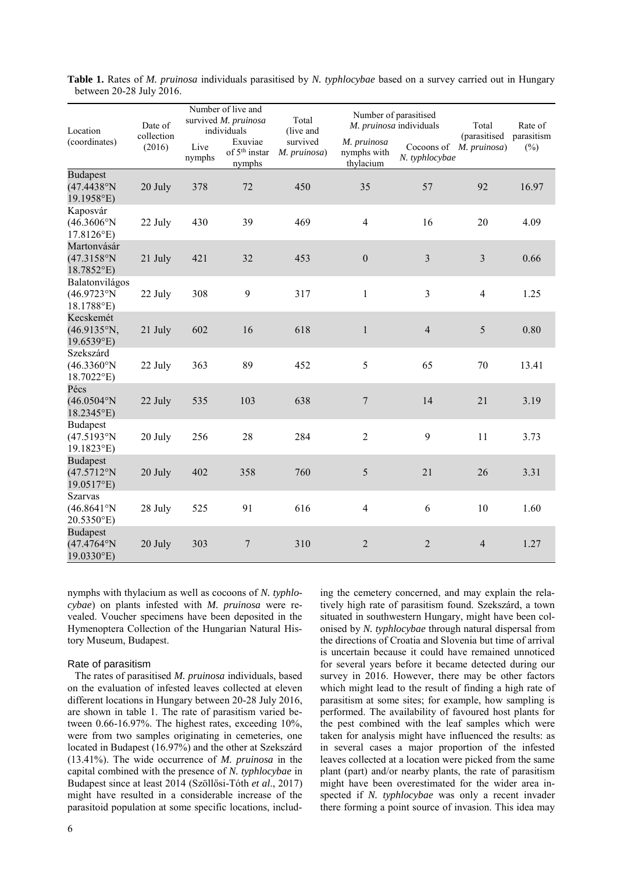| Location                                              | Date of              | Number of live and<br>survived M. pruinosa<br>individuals |                                                | Total<br>(live and       |                                         | Number of parasitised<br>M. pruinosa individuals | Total                        | Rate of              |
|-------------------------------------------------------|----------------------|-----------------------------------------------------------|------------------------------------------------|--------------------------|-----------------------------------------|--------------------------------------------------|------------------------------|----------------------|
| (coordinates)                                         | collection<br>(2016) | Live<br>nymphs                                            | Exuviae<br>of 5 <sup>th</sup> instar<br>nymphs | survived<br>M. pruinosa) | M. pruinosa<br>nymphs with<br>thylacium | Cocoons of<br>N. typhlocybae                     | (parasitised<br>M. pruinosa) | parasitism<br>$(\%)$ |
| <b>Budapest</b><br>(47.4438°N)<br>19.1958°E)          | 20 July              | 378                                                       | 72                                             | 450                      | 35                                      | 57                                               | 92                           | 16.97                |
| Kaposvár<br>(46.3606°N)<br>$17.8126$ °E)              | 22 July              | 430                                                       | 39                                             | 469                      | $\overline{4}$                          | 16                                               | 20                           | 4.09                 |
| Martonvásár<br>(47.3158°N)<br>18.7852°E)              | 21 July              | 421                                                       | 32                                             | 453                      | $\mathbf{0}$                            | $\overline{\mathbf{3}}$                          | 3                            | 0.66                 |
| Balatonvilágos<br>(46.9723°N)<br>18.1788°E)           | 22 July              | 308                                                       | 9                                              | 317                      | $\mathbf{1}$                            | 3                                                | $\overline{4}$               | 1.25                 |
| Kecskemét<br>(46.9135°N,<br>19.6539°E)                | 21 July              | 602                                                       | 16                                             | 618                      | $\mathbf{1}$                            | $\overline{4}$                                   | 5                            | 0.80                 |
| Szekszárd<br>(46.3360°N)<br>18.7022°E)                | 22 July              | 363                                                       | 89                                             | 452                      | 5                                       | 65                                               | 70                           | 13.41                |
| Pécs<br>$(46.0504^{\circ}N)$<br>18.2345°E)            | 22 July              | 535                                                       | 103                                            | 638                      | $\boldsymbol{7}$                        | 14                                               | 21                           | 3.19                 |
| <b>Budapest</b><br>(47.5193°N)<br>19.1823°E)          | 20 July              | 256                                                       | 28                                             | 284                      | $\overline{2}$                          | 9                                                | 11                           | 3.73                 |
| <b>Budapest</b><br>(47.5712°N)<br>19.0517°E)          | 20 July              | 402                                                       | 358                                            | 760                      | 5                                       | 21                                               | 26                           | 3.31                 |
| <b>Szarvas</b><br>(46.8641°N)<br>20.5350°E)           | 28 July              | 525                                                       | 91                                             | 616                      | $\overline{4}$                          | 6                                                | 10                           | 1.60                 |
| <b>Budapest</b><br>$(47.4764^{\circ}N)$<br>19.0330°E) | 20 July              | 303                                                       | $\boldsymbol{7}$                               | 310                      | $\overline{2}$                          | $\overline{2}$                                   | $\overline{4}$               | 1.27                 |

**Table 1.** Rates of *M. pruinosa* individuals parasitised by *N. typhlocybae* based on a survey carried out in Hungary between 20-28 July 2016.

nymphs with thylacium as well as cocoons of *N. typhlocybae*) on plants infested with *M. pruinosa* were revealed. Voucher specimens have been deposited in the Hymenoptera Collection of the Hungarian Natural History Museum, Budapest.

## Rate of parasitism

The rates of parasitised *M. pruinosa* individuals, based on the evaluation of infested leaves collected at eleven different locations in Hungary between 20-28 July 2016, are shown in table 1. The rate of parasitism varied between 0.66-16.97%. The highest rates, exceeding 10%, were from two samples originating in cemeteries, one located in Budapest (16.97%) and the other at Szekszárd (13.41%). The wide occurrence of *M. pruinosa* in the capital combined with the presence of *N. typhlocybae* in Budapest since at least 2014 (Szöllősi-Tóth *et al*., 2017) might have resulted in a considerable increase of the parasitoid population at some specific locations, includ-

ing the cemetery concerned, and may explain the relatively high rate of parasitism found. Szekszárd, a town situated in southwestern Hungary, might have been colonised by *N. typhlocybae* through natural dispersal from the directions of Croatia and Slovenia but time of arrival is uncertain because it could have remained unnoticed for several years before it became detected during our survey in 2016. However, there may be other factors which might lead to the result of finding a high rate of parasitism at some sites; for example, how sampling is performed. The availability of favoured host plants for the pest combined with the leaf samples which were taken for analysis might have influenced the results: as in several cases a major proportion of the infested leaves collected at a location were picked from the same plant (part) and/or nearby plants, the rate of parasitism might have been overestimated for the wider area inspected if *N. typhlocybae* was only a recent invader there forming a point source of invasion. This idea may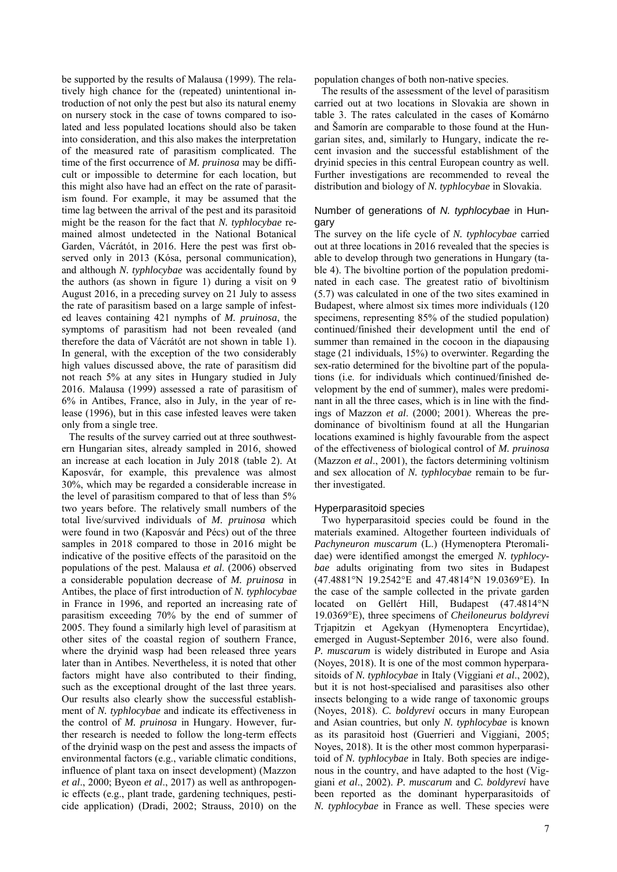be supported by the results of Malausa (1999). The relatively high chance for the (repeated) unintentional introduction of not only the pest but also its natural enemy on nursery stock in the case of towns compared to isolated and less populated locations should also be taken into consideration, and this also makes the interpretation of the measured rate of parasitism complicated. The time of the first occurrence of *M. pruinosa* may be difficult or impossible to determine for each location, but this might also have had an effect on the rate of parasitism found. For example, it may be assumed that the time lag between the arrival of the pest and its parasitoid might be the reason for the fact that *N. typhlocybae* remained almost undetected in the National Botanical Garden, Vácrátót, in 2016. Here the pest was first observed only in 2013 (Kósa, personal communication), and although *N. typhlocybae* was accidentally found by the authors (as shown in figure 1) during a visit on 9 August 2016, in a preceding survey on 21 July to assess the rate of parasitism based on a large sample of infested leaves containing 421 nymphs of *M. pruinosa*, the symptoms of parasitism had not been revealed (and therefore the data of Vácrátót are not shown in table 1). In general, with the exception of the two considerably high values discussed above, the rate of parasitism did not reach 5% at any sites in Hungary studied in July 2016. Malausa (1999) assessed a rate of parasitism of 6% in Antibes, France, also in July, in the year of release (1996), but in this case infested leaves were taken only from a single tree.

The results of the survey carried out at three southwestern Hungarian sites, already sampled in 2016, showed an increase at each location in July 2018 (table 2). At Kaposvár, for example, this prevalence was almost 30%, which may be regarded a considerable increase in the level of parasitism compared to that of less than 5% two years before. The relatively small numbers of the total live/survived individuals of *M. pruinosa* which were found in two (Kaposvár and Pécs) out of the three samples in 2018 compared to those in 2016 might be indicative of the positive effects of the parasitoid on the populations of the pest. Malausa *et al*. (2006) observed a considerable population decrease of *M. pruinosa* in Antibes, the place of first introduction of *N. typhlocybae* in France in 1996, and reported an increasing rate of parasitism exceeding 70% by the end of summer of 2005. They found a similarly high level of parasitism at other sites of the coastal region of southern France, where the dryinid wasp had been released three years later than in Antibes. Nevertheless, it is noted that other factors might have also contributed to their finding, such as the exceptional drought of the last three years. Our results also clearly show the successful establishment of *N. typhlocybae* and indicate its effectiveness in the control of *M. pruinosa* in Hungary. However, further research is needed to follow the long-term effects of the dryinid wasp on the pest and assess the impacts of environmental factors (e.g., variable climatic conditions, influence of plant taxa on insect development) (Mazzon *et al*., 2000; Byeon *et al*., 2017) as well as anthropogenic effects (e.g., plant trade, gardening techniques, pesticide application) (Dradi, 2002; Strauss, 2010) on the

population changes of both non-native species.

The results of the assessment of the level of parasitism carried out at two locations in Slovakia are shown in table 3. The rates calculated in the cases of Komárno and Šamorín are comparable to those found at the Hungarian sites, and, similarly to Hungary, indicate the recent invasion and the successful establishment of the dryinid species in this central European country as well. Further investigations are recommended to reveal the distribution and biology of *N. typhlocybae* in Slovakia.

## Number of generations of *N. typhlocybae* in Hungary

The survey on the life cycle of *N. typhlocybae* carried out at three locations in 2016 revealed that the species is able to develop through two generations in Hungary (table 4). The bivoltine portion of the population predominated in each case. The greatest ratio of bivoltinism (5.7) was calculated in one of the two sites examined in Budapest, where almost six times more individuals (120 specimens, representing 85% of the studied population) continued/finished their development until the end of summer than remained in the cocoon in the diapausing stage (21 individuals, 15%) to overwinter. Regarding the sex-ratio determined for the bivoltine part of the populations (i.e. for individuals which continued/finished development by the end of summer), males were predominant in all the three cases, which is in line with the findings of Mazzon *et al*. (2000; 2001). Whereas the predominance of bivoltinism found at all the Hungarian locations examined is highly favourable from the aspect of the effectiveness of biological control of *M. pruinosa* (Mazzon *et al*., 2001), the factors determining voltinism and sex allocation of *N. typhlocybae* remain to be further investigated.

## Hyperparasitoid species

Two hyperparasitoid species could be found in the materials examined. Altogether fourteen individuals of *Pachyneuron muscarum* (L.) (Hymenoptera Pteromalidae) were identified amongst the emerged *N. typhlocybae* adults originating from two sites in Budapest (47.4881°N 19.2542°E and 47.4814°N 19.0369°E). In the case of the sample collected in the private garden located on Gellért Hill, Budapest (47.4814°N 19.0369°E), three specimens of *Cheiloneurus boldyrevi* Trjapitzin et Agekyan (Hymenoptera Encyrtidae), emerged in August-September 2016, were also found. *P. muscarum* is widely distributed in Europe and Asia (Noyes, 2018). It is one of the most common hyperparasitoids of *N. typhlocybae* in Italy (Viggiani *et al*., 2002), but it is not host-specialised and parasitises also other insects belonging to a wide range of taxonomic groups (Noyes, 2018). *C. boldyrevi* occurs in many European and Asian countries, but only *N. typhlocybae* is known as its parasitoid host (Guerrieri and Viggiani, 2005; Noyes, 2018). It is the other most common hyperparasitoid of *N. typhlocybae* in Italy. Both species are indigenous in the country, and have adapted to the host (Viggiani *et al*., 2002). *P. muscarum* and *C. boldyrevi* have been reported as the dominant hyperparasitoids of *N. typhlocybae* in France as well. These species were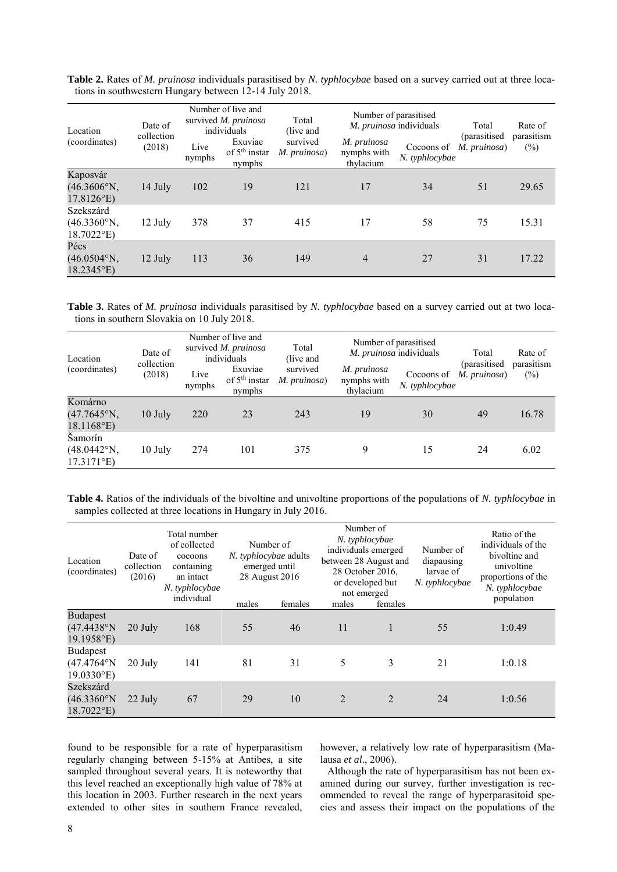| Location<br>(coordinates)                          | Date of<br>collection<br>(2018) | Number of live and<br>survived <i>M. pruinosa</i><br>individuals |                                                | Total<br>(live and)      | Number of parasitised<br>M. <i>pruinosa</i> individuals |                              | Total                         | Rate of              |
|----------------------------------------------------|---------------------------------|------------------------------------------------------------------|------------------------------------------------|--------------------------|---------------------------------------------------------|------------------------------|-------------------------------|----------------------|
|                                                    |                                 | Live<br>nymphs                                                   | Exuviae<br>of 5 <sup>th</sup> instar<br>nymphs | survived<br>M. pruinosa) | M. pruinosa<br>nymphs with<br>thylacium                 | Cocoons of<br>N. typhlocybae | (parasitised)<br>M. pruinosa) | parasitism<br>$(\%)$ |
| Kaposvár<br>$(46.3606\text{°N},$<br>$17.8126$ °E)  | 14 July                         | 102                                                              | 19                                             | 121                      | 17                                                      | 34                           | 51                            | 29.65                |
| Szekszárd<br>$(46.3360^{\circ}N,$<br>$18.7022$ °E) | 12 July                         | 378                                                              | 37                                             | 415                      | 17                                                      | 58                           | 75                            | 15.31                |
| Pécs<br>$(46.0504\text{°N},$<br>$18.2345$ °E)      | 12 July                         | 113                                                              | 36                                             | 149                      | $\overline{4}$                                          | 27                           | 31                            | 17.22                |

**Table 2.** Rates of *M. pruinosa* individuals parasitised by *N. typhlocybae* based on a survey carried out at three locations in southwestern Hungary between 12-14 July 2018.

**Table 3.** Rates of *M. pruinosa* individuals parasitised by *N. typhlocybae* based on a survey carried out at two locations in southern Slovakia on 10 July 2018.

| Location<br>(coordinates)                        | Date of<br>collection<br>(2018) | Number of live and<br>survived M. pruinosa<br>individuals<br>Exuviae<br>Live<br>of $5th$ instar<br>nymphs<br>nymphs |     | Total<br>(live and)<br>survived<br>M. pruinosa) | Number of parasitised<br>M. <i>pruinosa</i> individuals<br>M. pruinosa<br>Cocoons of<br>nymphs with<br>N. typhlocybae<br>thylacium |    | Total<br>(parasitised<br>M. pruinosa) | Rate of<br>parasitism<br>$(\%)$ |
|--------------------------------------------------|---------------------------------|---------------------------------------------------------------------------------------------------------------------|-----|-------------------------------------------------|------------------------------------------------------------------------------------------------------------------------------------|----|---------------------------------------|---------------------------------|
| Komárno<br>$(47.7645^{\circ}N,$<br>$18.1168$ °E) | $10$ July                       | 220                                                                                                                 | 23  | 243                                             | 19                                                                                                                                 | 30 | 49                                    | 16.78                           |
| Samorín<br>$(48.0442^{\circ}N,$<br>$17.3171$ °E) | $10$ July                       | 274                                                                                                                 | 101 | 375                                             | 9                                                                                                                                  | 15 | 24                                    | 6.02                            |

**Table 4.** Ratios of the individuals of the bivoltine and univoltine proportions of the populations of *N. typhlocybae* in samples collected at three locations in Hungary in July 2016.

| Location<br>(coordinates)                         | Date of<br>collection<br>(2016) | Total number<br>of collected<br>cocoons<br>containing<br>an intact<br>N. typhlocybae<br>individual | males | Number of<br>N. typhlocybae adults<br>emerged until<br>28 August 2016<br>females | Number of<br>N. typhlocybae<br>individuals emerged<br>Number of<br>between 28 August and<br>diapausing<br>28 October 2016.<br>larvae of<br>or developed but<br>N. typhlocybae<br>not emerged<br>females<br>males |                | Ratio of the<br>individuals of the<br>bivoltine and<br>univoltine<br>proportions of the<br>N. typhlocybae<br>population |        |
|---------------------------------------------------|---------------------------------|----------------------------------------------------------------------------------------------------|-------|----------------------------------------------------------------------------------|------------------------------------------------------------------------------------------------------------------------------------------------------------------------------------------------------------------|----------------|-------------------------------------------------------------------------------------------------------------------------|--------|
| <b>Budapest</b><br>(47.4438°N)<br>$19.1958$ °E)   | 20 July                         | 168                                                                                                | 55    | 46                                                                               | 11                                                                                                                                                                                                               |                | 55                                                                                                                      | 1:0.49 |
| Budapest<br>$(47.4764^{\circ}N)$<br>$19.0330$ °E) | 20 July                         | 141                                                                                                | 81    | 31                                                                               | 5                                                                                                                                                                                                                | 3              | 21                                                                                                                      | 1:0.18 |
| Szekszárd<br>(46.3360°N)<br>18.7022°E)            | 22 July                         | 67                                                                                                 | 29    | 10                                                                               | 2                                                                                                                                                                                                                | $\overline{2}$ | 24                                                                                                                      | 1:0.56 |

found to be responsible for a rate of hyperparasitism regularly changing between 5-15% at Antibes, a site sampled throughout several years. It is noteworthy that this level reached an exceptionally high value of 78% at this location in 2003. Further research in the next years extended to other sites in southern France revealed,

however, a relatively low rate of hyperparasitism (Malausa *et al*., 2006).

Although the rate of hyperparasitism has not been examined during our survey, further investigation is recommended to reveal the range of hyperparasitoid species and assess their impact on the populations of the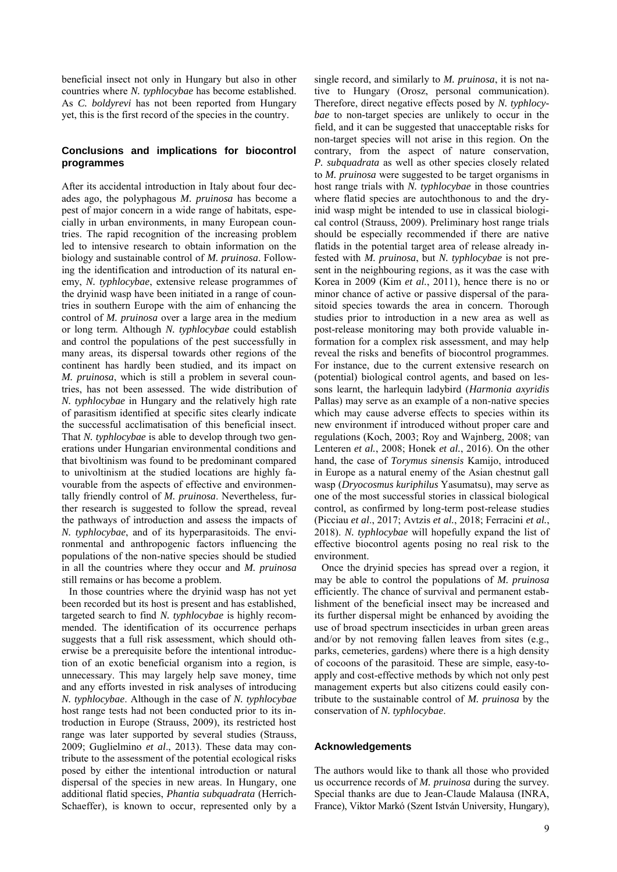beneficial insect not only in Hungary but also in other countries where *N. typhlocybae* has become established. As *C. boldyrevi* has not been reported from Hungary yet, this is the first record of the species in the country.

# **Conclusions and implications for biocontrol programmes**

After its accidental introduction in Italy about four decades ago, the polyphagous *M. pruinosa* has become a pest of major concern in a wide range of habitats, especially in urban environments, in many European countries. The rapid recognition of the increasing problem led to intensive research to obtain information on the biology and sustainable control of *M. pruinosa*. Following the identification and introduction of its natural enemy, *N. typhlocybae*, extensive release programmes of the dryinid wasp have been initiated in a range of countries in southern Europe with the aim of enhancing the control of *M. pruinosa* over a large area in the medium or long term. Although *N. typhlocybae* could establish and control the populations of the pest successfully in many areas, its dispersal towards other regions of the continent has hardly been studied, and its impact on *M. pruinosa*, which is still a problem in several countries, has not been assessed. The wide distribution of *N. typhlocybae* in Hungary and the relatively high rate of parasitism identified at specific sites clearly indicate the successful acclimatisation of this beneficial insect. That *N. typhlocybae* is able to develop through two generations under Hungarian environmental conditions and that bivoltinism was found to be predominant compared to univoltinism at the studied locations are highly favourable from the aspects of effective and environmentally friendly control of *M. pruinosa*. Nevertheless, further research is suggested to follow the spread, reveal the pathways of introduction and assess the impacts of *N. typhlocybae*, and of its hyperparasitoids. The environmental and anthropogenic factors influencing the populations of the non-native species should be studied in all the countries where they occur and *M. pruinosa* still remains or has become a problem.

In those countries where the dryinid wasp has not yet been recorded but its host is present and has established, targeted search to find *N. typhlocybae* is highly recommended. The identification of its occurrence perhaps suggests that a full risk assessment, which should otherwise be a prerequisite before the intentional introduction of an exotic beneficial organism into a region, is unnecessary. This may largely help save money, time and any efforts invested in risk analyses of introducing *N. typhlocybae*. Although in the case of *N. typhlocybae* host range tests had not been conducted prior to its introduction in Europe (Strauss, 2009), its restricted host range was later supported by several studies (Strauss, 2009; Guglielmino *et al*., 2013). These data may contribute to the assessment of the potential ecological risks posed by either the intentional introduction or natural dispersal of the species in new areas. In Hungary, one additional flatid species, *Phantia subquadrata* (Herrich-Schaeffer), is known to occur, represented only by a

single record, and similarly to *M. pruinosa*, it is not native to Hungary (Orosz, personal communication). Therefore, direct negative effects posed by *N. typhlocybae* to non-target species are unlikely to occur in the field, and it can be suggested that unacceptable risks for non-target species will not arise in this region. On the contrary, from the aspect of nature conservation, *P. subquadrata* as well as other species closely related to *M. pruinosa* were suggested to be target organisms in host range trials with *N. typhlocybae* in those countries where flatid species are autochthonous to and the dryinid wasp might be intended to use in classical biological control (Strauss, 2009). Preliminary host range trials should be especially recommended if there are native flatids in the potential target area of release already infested with *M. pruinosa*, but *N. typhlocybae* is not present in the neighbouring regions, as it was the case with Korea in 2009 (Kim *et al.*, 2011), hence there is no or minor chance of active or passive dispersal of the parasitoid species towards the area in concern. Thorough studies prior to introduction in a new area as well as post-release monitoring may both provide valuable information for a complex risk assessment, and may help reveal the risks and benefits of biocontrol programmes. For instance, due to the current extensive research on (potential) biological control agents, and based on lessons learnt, the harlequin ladybird (*Harmonia axyridis* Pallas) may serve as an example of a non-native species which may cause adverse effects to species within its new environment if introduced without proper care and regulations (Koch, 2003; Roy and Wajnberg, 2008; van Lenteren *et al.*, 2008; Honek *et al.*, 2016). On the other hand, the case of *Torymus sinensis* Kamijo, introduced in Europe as a natural enemy of the Asian chestnut gall wasp (*Dryocosmus kuriphilus* Yasumatsu), may serve as one of the most successful stories in classical biological control, as confirmed by long-term post-release studies (Picciau *et al*., 2017; Avtzis *et al.*, 2018; Ferracini *et al.*, 2018). *N. typhlocybae* will hopefully expand the list of effective biocontrol agents posing no real risk to the environment.

Once the dryinid species has spread over a region, it may be able to control the populations of *M. pruinosa* efficiently. The chance of survival and permanent establishment of the beneficial insect may be increased and its further dispersal might be enhanced by avoiding the use of broad spectrum insecticides in urban green areas and/or by not removing fallen leaves from sites (e.g., parks, cemeteries, gardens) where there is a high density of cocoons of the parasitoid. These are simple, easy-toapply and cost-effective methods by which not only pest management experts but also citizens could easily contribute to the sustainable control of *M. pruinosa* by the conservation of *N. typhlocybae*.

## **Acknowledgements**

The authors would like to thank all those who provided us occurrence records of *M. pruinosa* during the survey. Special thanks are due to Jean-Claude Malausa (INRA, France), Viktor Markó (Szent István University, Hungary),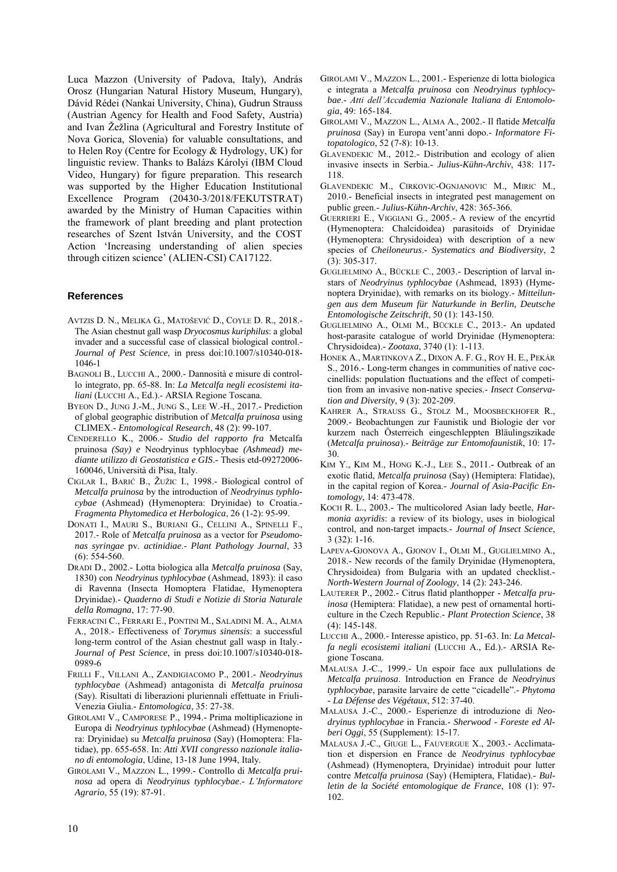Luca Mazzon (University of Padova, Italy), András Orosz (Hungarian Natural History Museum, Hungary), Dávid Rédei (Nankai University, China), Gudrun Strauss (Austrian Agency for Health and Food Safety, Austria) and Ivan Žežlina (Agricultural and Forestry Institute of Nova Gorica, Slovenia) for valuable consultations, and to Helen Roy (Centre for Ecology & Hydrology, UK) for linguistic review. Thanks to Balázs Károlyi (IBM Cloud Video, Hungary) for figure preparation. This research was supported by the Higher Education Institutional Excellence Program (20430-3/2018/FEKUTSTRAT) awarded by the Ministry of Human Capacities within the framework of plant breeding and plant protection researches of Szent István University, and the COST Action 'Increasing understanding of alien species through citizen science' (ALIEN-CSI) CA17122.

## **References**

- AVTZIS D. N., MELIKA G., MATOŠEVIĆ D., COYLE D. R., 2018.- The Asian chestnut gall wasp *Dryocosmus kuriphilus*: a global invader and a successful case of classical biological control.- *Journal of Pest Science*, in press doi:10.1007/s10340-018- 1046-1
- BAGNOLI B., LUCCHI A., 2000.- Dannosità e misure di controllo integrato, pp. 65-88. In: *La Metcalfa negli ecosistemi italiani* (LUCCHI A., Ed.).- ARSIA Regione Toscana.
- BYEON D., JUNG J.-M., JUNG S., LEE W.-H., 2017.- Prediction of global geographic distribution of *Metcalfa pruinosa* using CLIMEX.- *Entomological Research*, 48 (2): 99-107.
- CENDERELLO K., 2006.- *Studio del rapporto fra* Metcalfa pruinosa *(Say) e* Neodryinus typhlocybae *(Ashmead) mediante utilizzo di Geostatistica e GIS*.- Thesis etd-09272006- 160046, Università di Pisa, Italy.
- CIGLAR I., BARIĆ B., ŽUŽIC I., 1998.- Biological control of *Metcalfa pruinosa* by the introduction of *Neodryinus typhlocybae* (Ashmead) (Hymenoptera: Dryinidae) to Croatia.- *Fragmenta Phytomedica et Herbologica*, 26 (1-2): 95-99.
- DONATI I., MAURI S., BURIANI G., CELLINI A., SPINELLI F., 2017.- Role of *Metcalfa pruinosa* as a vector for *Pseudomonas syringae* pv. *actinidiae*.- *Plant Pathology Journal*, 33 (6): 554-560.
- DRADI D., 2002.- Lotta biologica alla *Metcalfa pruinosa* (Say, 1830) con *Neodryinus typhlocybae* (Ashmead, 1893): il caso di Ravenna (Insecta Homoptera Flatidae, Hymenoptera Dryinidae).- *Quaderno di Studi e Notizie di Storia Naturale della Romagna*, 17: 77-90.
- FERRACINI C., FERRARI E., PONTINI M., SALADINI M. A., ALMA A., 2018.- Effectiveness of *Torymus sinensis*: a successful long-term control of the Asian chestnut gall wasp in Italy.- *Journal of Pest Science*, in press doi:10.1007/s10340-018- 0989-6
- FRILLI F., VILLANI A., ZANDIGIACOMO P., 2001.- *Neodryinus typhlocybae* (Ashmead) antagonista di *Metcalfa pruinosa* (Say). Risultati di liberazioni pluriennali effettuate in Friuli-Venezia Giulia.- *Entomologica*, 35: 27-38.
- GIROLAMI V., CAMPORESE P., 1994.- Prima moltiplicazione in Europa di *Neodryinus typhlocybae* (Ashmead) (Hymenoptera: Dryinidae) su *Metcalfa pruinosa* (Say) (Homoptera: Flatidae), pp. 655-658. In: *Atti XVII congresso nazionale italiano di entomologia*, Udine, 13-18 June 1994, Italy.
- GIROLAMI V., MAZZON L., 1999.- Controllo di *Metcalfa pruinosa* ad opera di *Neodryinus typhlocybae*.- *L'Informatore Agrario*, 55 (19): 87-91.
- GIROLAMI V., MAZZON L., 2001.- Esperienze di lotta biologica e integrata a *Metcalfa pruinosa* con *Neodryinus typhlocybae*.- *Atti dell'Accademia Nazionale Italiana di Entomologia*, 49: 165-184.
- GIROLAMI V., MAZZON L., ALMA A., 2002.- Il flatide *Metcalfa pruinosa* (Say) in Europa vent'anni dopo.- *Informatore Fitopatologico*, 52 (7-8): 10-13.
- GLAVENDEKIC M., 2012.- Distribution and ecology of alien invasive insects in Serbia.- *Julius-Kühn-Archiv*, 438: 117- 118.
- GLAVENDEKIC M., CIRKOVIC-OGNJANOVIC M., MIRIC M., 2010.- Beneficial insects in integrated pest management on public green.- *Julius-Kühn-Archiv*, 428: 365-366.
- GUERRIERI E., VIGGIANI G., 2005.- A review of the encyrtid (Hymenoptera: Chalcidoidea) parasitoids of Dryinidae (Hymenoptera: Chrysidoidea) with description of a new species of *Cheiloneurus*.- *Systematics and Biodiversity*, 2 (3): 305-317.
- GUGLIELMINO A., BÜCKLE C., 2003.- Description of larval instars of *Neodryinus typhlocybae* (Ashmead, 1893) (Hymenoptera Dryinidae), with remarks on its biology.- *Mitteilungen aus dem Museum für Naturkunde in Berlin, Deutsche Entomologische Zeitschrift*, 50 (1): 143-150.
- GUGLIELMINO A., OLMI M., BÜCKLE C., 2013.- An updated host-parasite catalogue of world Dryinidae (Hymenoptera: Chrysidoidea).- *Zootaxa*, 3740 (1): 1-113.
- HONEK A., MARTINKOVA Z., DIXON A. F. G., ROY H. E., PEKÁR S., 2016.- Long-term changes in communities of native coccinellids: population fluctuations and the effect of competition from an invasive non-native species.- *Insect Conservation and Diversity*, 9 (3): 202-209.
- KAHRER A., STRAUSS G., STOLZ M., MOOSBECKHOFER R., 2009.- Beobachtungen zur Faunistik und Biologie der vor kurzem nach Österreich eingeschleppten Bläulingszikade (*Metcalfa pruinosa*).- *Beiträge zur Entomofaunistik*, 10: 17- 30.
- KIM Y., KIM M., HONG K.-J., LEE S., 2011.- Outbreak of an exotic flatid, *Metcalfa pruinosa* (Say) (Hemiptera: Flatidae), in the capital region of Korea.- *Journal of Asia-Pacific Entomology*, 14: 473-478.
- KOCH R. L., 2003.- The multicolored Asian lady beetle, *Harmonia axyridis*: a review of its biology, uses in biological control, and non-target impacts.- *Journal of Insect Science*, 3 (32): 1-16.
- LAPEVA-GJONOVA A., GJONOV I., OLMI M., GUGLIELMINO A., 2018.- New records of the family Dryinidae (Hymenoptera, Chrysidoidea) from Bulgaria with an updated checklist.- *North-Western Journal of Zoology*, 14 (2): 243-246.
- LAUTERER P., 2002.- Citrus flatid planthopper *Metcalfa pruinosa* (Hemiptera: Flatidae), a new pest of ornamental horticulture in the Czech Republic.- *Plant Protection Science*, 38 (4): 145-148.
- LUCCHI A., 2000.- Interesse apistico, pp. 51-63. In: *La Metcalfa negli ecosistemi italiani* (LUCCHI A., Ed.).- ARSIA Regione Toscana.
- MALAUSA J.-C., 1999.- Un espoir face aux pullulations de *Metcalfa pruinosa*. Introduction en France de *Neodryinus typhlocybae*, parasite larvaire de cette "cicadelle".- *Phytoma - La Défense des Végétaux*, 512: 37-40.
- MALAUSA J.-C., 2000.- Esperienze di introduzione di *Neodryinus typhlocybae* in Francia.- *Sherwood - Foreste ed Alberi Oggi*, 55 (Supplement): 15-17.
- MALAUSA J.-C., GIUGE L., FAUVERGUE X., 2003.- Acclimatation et dispersion en France de *Neodryinus typhlocybae* (Ashmead) (Hymenoptera, Dryinidae) introduit pour lutter contre *Metcalfa pruinosa* (Say) (Hemiptera, Flatidae).- *Bulletin de la Société entomologique de France*, 108 (1): 97- 102.